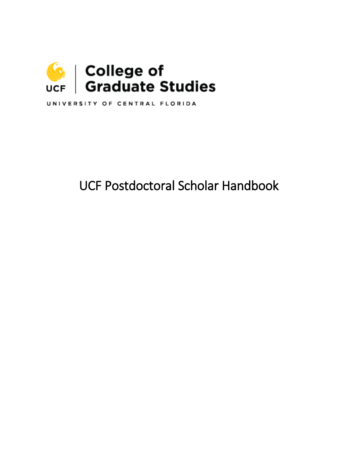

UNIVERSITY OF CENTRAL FLORIDA

# UCF Postdoctoral Scholar Handbook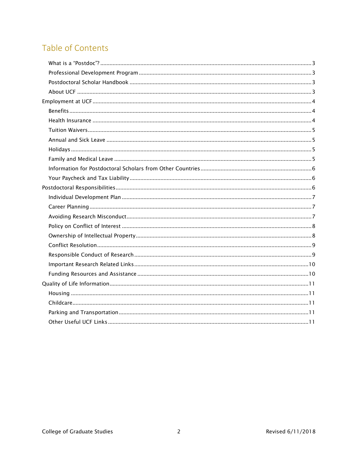## Table of Contents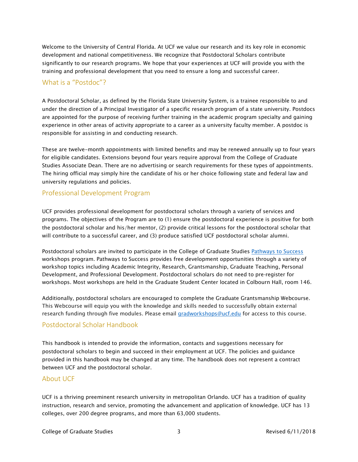Welcome to the University of Central Florida. At UCF we value our research and its key role in economic development and national competitiveness. We recognize that Postdoctoral Scholars contribute significantly to our research programs. We hope that your experiences at UCF will provide you with the training and professional development that you need to ensure a long and successful career.

#### <span id="page-2-0"></span>What is a "Postdoc"?

A Postdoctoral Scholar, as defined by the Florida State University System, is a trainee responsible to and under the direction of a Principal Investigator of a specific research program of a state university. Postdocs are appointed for the purpose of receiving further training in the academic program specialty and gaining experience in other areas of activity appropriate to a career as a university faculty member. A postdoc is responsible for assisting in and conducting research.

These are twelve-month appointments with limited benefits and may be renewed annually up to four years for eligible candidates. Extensions beyond four years require approval from the College of Graduate Studies Associate Dean. There are no advertising or search requirements for these types of appointments. The hiring official may simply hire the candidate of his or her choice following state and federal law and university regulations and policies.

#### <span id="page-2-1"></span>Professional Development Program

UCF provides professional development for postdoctoral scholars through a variety of services and programs. The objectives of the Program are to (1) ensure the postdoctoral experience is positive for both the postdoctoral scholar and his/her mentor, (2) provide critical lessons for the postdoctoral scholar that will contribute to a successful career, and (3) produce satisfied UCF postdoctoral scholar alumni.

Postdoctoral scholars are invited to participate in the College of Graduate Studies [Pathways to Success](http://www.students.graduate.ucf.edu/pathways/) workshops program. Pathways to Success provides free development opportunities through a variety of workshop topics including Academic Integrity, Research, Grantsmanship, Graduate Teaching, Personal Development, and Professional Development. Postdoctoral scholars do not need to pre-register for workshops. Most workshops are held in the Graduate Student Center located in Colbourn Hall, room 146.

Additionally, postdoctoral scholars are encouraged to complete the Graduate Grantsmanship Webcourse. This Webcourse will equip you with the knowledge and skills needed to successfully obtain external research funding through five modules. Please email [gradworkshops@ucf.edu](mailto:gradworkshops@ucf.edu) for access to this course.

#### <span id="page-2-2"></span>Postdoctoral Scholar Handbook

This handbook is intended to provide the information, contacts and suggestions necessary for postdoctoral scholars to begin and succeed in their employment at UCF. The policies and guidance provided in this handbook may be changed at any time. The handbook does not represent a contract between UCF and the postdoctoral scholar.

#### <span id="page-2-3"></span>About UCF

UCF is a thriving preeminent research university in metropolitan Orlando. UCF has a tradition of quality instruction, research and service, promoting the advancement and application of knowledge. UCF has 13 colleges, over 200 degree programs, and more than 63,000 students.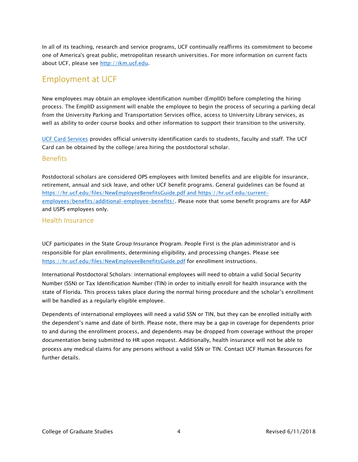In all of its teaching, research and service programs, UCF continually reaffirms its commitment to become one of America's great public, metropolitan research universities. For more information on current facts about UCF, please see [http://ikm.ucf.edu.](http://ikm.ucf.edu/)

#### <span id="page-3-0"></span>Employment at UCF

New employees may obtain an employee identification number (EmplID) before completing the hiring process. The EmplID assignment will enable the employee to begin the process of securing a parking decal from the University Parking and Transportation Services office, access to University Library services, as well as ability to order course books and other information to support their transition to the university.

[UCF Card Services](https://ucfcard.ucf.edu/index.html) provides official university identification cards to students, faculty and staff. The UCF Card can be obtained by the college/area hiring the postdoctoral scholar.

#### <span id="page-3-1"></span>Benefits

Postdoctoral scholars are considered OPS employees with limited benefits and are eligible for insurance, retirement, annual and sick leave, and other UCF benefit programs. General guidelines can be found at <https://hr.ucf.edu/files/NewEmployeeBenefitsGuide.pdf> and https://hr.ucf.edu/currentemployees/benefits/additional-employee-benefits/. Please note that some benefit programs are for A&P and USPS employees only.

#### <span id="page-3-2"></span>Health Insurance

UCF participates in the State Group Insurance Program. People First is the plan administrator and is responsible for plan enrollments, determining eligibility, and processing changes. Please see <https://hr.ucf.edu/files/NewEmployeeBenefitsGuide.pdf> for enrollment instructions.

International Postdoctoral Scholars: international employees will need to obtain a valid Social Security Number (SSN) or Tax Identification Number (TIN) in order to initially enroll for health insurance with the state of Florida. This process takes place during the normal hiring procedure and the scholar's enrollment will be handled as a regularly eligible employee.

Dependents of international employees will need a valid SSN or TIN, but they can be enrolled initially with the dependent's name and date of birth. Please note, there may be a gap in coverage for dependents prior to and during the enrollment process, and dependents may be dropped from coverage without the proper documentation being submitted to HR upon request. Additionally, health insurance will not be able to process any medical claims for any persons without a valid SSN or TIN. Contact UCF Human Resources for further details.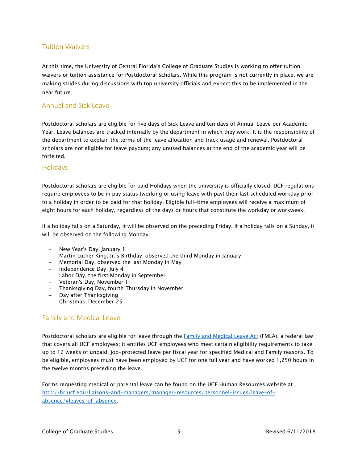#### <span id="page-4-0"></span>Tuition Waivers

At this time, the University of Central Florida's College of Graduate Studies is working to offer tuition waivers or tuition assistance for Postdoctoral Scholars. While this program is not currently in place, we are making strides during discussions with top university officials and expect this to be implemented in the near future.

#### <span id="page-4-1"></span>Annual and Sick Leave

Postdoctoral scholars are eligible for five days of Sick Leave and ten days of Annual Leave per Academic Year. Leave balances are tracked internally by the department in which they work. It is the responsibility of the department to explain the terms of the leave allocation and track usage and renewal. Postdoctoral scholars are not eligible for leave payouts; any unused balances at the end of the academic year will be forfeited.

#### <span id="page-4-2"></span>**Holidays**

Postdoctoral scholars are eligible for paid Holidays when the university is officially closed. UCF regulations require employees to be in pay status (working or using leave with pay) their last scheduled workday prior to a holiday in order to be paid for that holiday. Eligible full-time employees will receive a maximum of eight hours for each holiday, regardless of the days or hours that constitute the workday or workweek.

If a holiday falls on a Saturday, it will be observed on the preceding Friday. If a holiday falls on a Sunday, it will be observed on the following Monday.

- − New Year's Day, January 1
- − Martin Luther King, Jr.'s Birthday, observed the third Monday in January
- − Memorial Day, observed the last Monday in May
- − Independence Day, July 4
- − Labor Day, the first Monday in September
- − Veteran's Day, November 11
- − Thanksgiving Day, fourth Thursday in November
- Day after Thanksgiving
- − Christmas, December 25

#### <span id="page-4-3"></span>Family and Medical Leave

Postdoctoral scholars are eligible for leave through the [Family and Medical Leave Act](https://www.dol.gov/whd/regs/compliance/posters/fmlaen.pdf) (FMLA), a federal law that covers all UCF employees; it entitles UCF employees who meet certain eligibility requirements to take up to 12 weeks of unpaid, job-protected leave per fiscal year for specified Medical and Family reasons. To be eligible, employees must have been employed by UCF for one full year and have worked 1,250 hours in the twelve months preceding the leave.

Forms requesting medical or parental leave can be found on the UCF Human Resources website at [http://hr.ucf.edu/liaisons-and-managers/manager-resources/personnel-issues/leave-of](http://hr.ucf.edu/liaisons-and-managers/manager-resources/personnel-issues/leave-of-absence/#leaves-of-absence)[absence/#leaves-of-absence.](http://hr.ucf.edu/liaisons-and-managers/manager-resources/personnel-issues/leave-of-absence/#leaves-of-absence)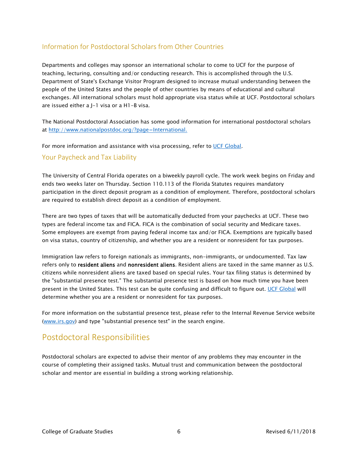#### <span id="page-5-0"></span>Information for Postdoctoral Scholars from Other Countries

Departments and colleges may sponsor an international scholar to come to UCF for the purpose of teaching, lecturing, consulting and/or conducting research. This is accomplished through the U.S. Department of State's Exchange Visitor Program designed to increase mutual understanding between the people of the United States and the people of other countries by means of educational and cultural exchanges. All international scholars must hold appropriate visa status while at UCF. Postdoctoral scholars are issued either a J-1 visa or a H1-B visa.

The National Postdoctoral Association has some good information for international postdoctoral scholars at [http://www.nationalpostdoc.org/?page=International.](http://www.nationalpostdoc.org/?page=International)

For more information and assistance with visa processing, refer to [UCF Global.](http://global.ucf.edu/)

#### <span id="page-5-1"></span>Your Paycheck and Tax Liability

The University of Central Florida operates on a biweekly payroll cycle. The work week begins on Friday and ends two weeks later on Thursday. Section 110.113 of the Florida Statutes requires mandatory participation in the direct deposit program as a condition of employment. Therefore, postdoctoral scholars are required to establish direct deposit as a condition of employment.

There are two types of taxes that will be automatically deducted from your paychecks at UCF. These two types are federal income tax and FICA. FICA is the combination of social security and Medicare taxes. Some employees are exempt from paying federal income tax and/or FICA. Exemptions are typically based on visa status, country of citizenship, and whether you are a resident or nonresident for tax purposes.

Immigration law refers to foreign nationals as immigrants, non-immigrants, or undocumented. Tax law refers only to **resident aliens** and **nonresident aliens**. Resident aliens are taxed in the same manner as U.S. citizens while nonresident aliens are taxed based on special rules. Your tax filing status is determined by the "substantial presence test." The substantial presence test is based on how much time you have been present in the United States. This test can be quite confusing and difficult to figure out. [UCF Global](http://global.ucf.edu/) will determine whether you are a resident or nonresident for tax purposes.

For more information on the substantial presence test, please refer to the Internal Revenue Service website [\(www.irs.gov\)](http://www.irs.gov/) and type "substantial presence test" in the search engine.

### <span id="page-5-2"></span>Postdoctoral Responsibilities

Postdoctoral scholars are expected to advise their mentor of any problems they may encounter in the course of completing their assigned tasks. Mutual trust and communication between the postdoctoral scholar and mentor are essential in building a strong working relationship.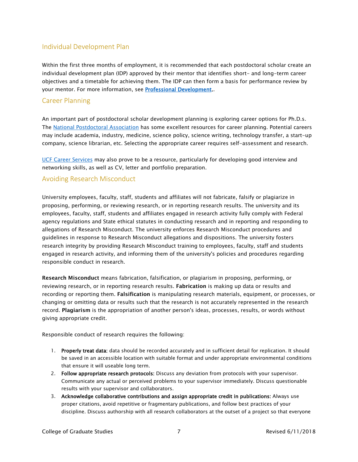#### <span id="page-6-0"></span>Individual Development Plan

Within the first three months of employment, it is recommended that each postdoctoral scholar create an individual development plan (IDP) approved by their mentor that identifies short- and long-term career objectives and a timetable for achieving them. The IDP can then form a basis for performance review by your mentor. For more information, see **Professional Development.**.

#### <span id="page-6-1"></span>Career Planning

An important part of postdoctoral scholar development planning is exploring career options for Ph.D.s. The [National Postdoctoral Association](http://www.nationalpostdoc.org/?page=CareerPlanning) has some excellent resources for career planning. Potential careers may include academia, industry, medicine, science policy, science writing, technology transfer, a start-up company, science librarian, etc. Selecting the appropriate career requires self-assessment and research.

[UCF Career Services](http://career.ucf.edu/) may also prove to be a resource, particularly for developing good interview and networking skills, as well as CV, letter and portfolio preparation.

#### <span id="page-6-2"></span>Avoiding Research Misconduct

University employees, faculty, staff, students and affiliates will not fabricate, falsify or plagiarize in proposing, performing, or reviewing research, or in reporting research results. The university and its employees, faculty, staff, students and affiliates engaged in research activity fully comply with Federal agency regulations and State ethical statutes in conducting research and in reporting and responding to allegations of Research Misconduct. The university enforces Research Misconduct procedures and guidelines in response to Research Misconduct allegations and dispositions. The university fosters research integrity by providing Research Misconduct training to employees, faculty, staff and students engaged in research activity, and informing them of the university's policies and procedures regarding responsible conduct in research.

Research Misconduct means fabrication, falsification, or plagiarism in proposing, performing, or reviewing research, or in reporting research results. Fabrication is making up data or results and recording or reporting them. Falsification is manipulating research materials, equipment, or processes, or changing or omitting data or results such that the research is not accurately represented in the research record. Plagiarism is the appropriation of another person's ideas, processes, results, or words without giving appropriate credit.

Responsible conduct of research requires the following:

- 1. Properly treat data: data should be recorded accurately and in sufficient detail for replication. It should be saved in an accessible location with suitable format and under appropriate environmental conditions that ensure it will useable long term.
- 2. Follow appropriate research protocols: Discuss any deviation from protocols with your supervisor. Communicate any actual or perceived problems to your supervisor immediately. Discuss questionable results with your supervisor and collaborators.
- 3. Acknowledge collaborative contributions and assign appropriate credit in publications: Always use proper citations, avoid repetitive or fragmentary publications, and follow best practices of your discipline. Discuss authorship with all research collaborators at the outset of a project so that everyone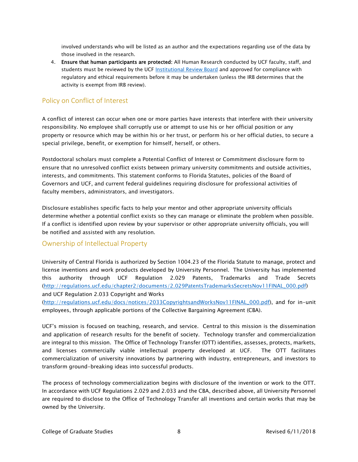involved understands who will be listed as an author and the expectations regarding use of the data by those involved in the research.

4. Ensure that human participants are protected: All Human Research conducted by UCF faculty, staff, and students must be reviewed by the UCF [Institutional Review Board](http://www.research.ucf.edu/Compliance/IRB/Investigators/index.html) and approved for compliance with regulatory and ethical requirements before it may be undertaken (unless the IRB determines that the activity is exempt from IRB review).

#### <span id="page-7-0"></span>Policy on Conflict of Interest

A conflict of interest can occur when one or more parties have interests that interfere with their university responsibility. No employee shall corruptly use or attempt to use his or her official position or any property or resource which may be within his or her trust, or perform his or her official duties, to secure a special privilege, benefit, or exemption for himself, herself, or others.

Postdoctoral scholars must complete a Potential Conflict of Interest or Commitment disclosure form to ensure that no unresolved conflict exists between primary university commitments and outside activities, interests, and commitments. This statement conforms to Florida Statutes, policies of the Board of Governors and UCF, and current federal guidelines requiring disclosure for professional activities of faculty members, administrators, and investigators.

Disclosure establishes specific facts to help your mentor and other appropriate university officials determine whether a potential conflict exists so they can manage or eliminate the problem when possible. If a conflict is identified upon review by your supervisor or other appropriate university officials, you will be notified and assisted with any resolution.

#### <span id="page-7-1"></span>Ownership of Intellectual Property

University of Central Florida is authorized by Section 1004.23 of the Florida Statute to manage, protect and license inventions and work products developed by University Personnel. The University has implemented this authority through UCF Regulation 2.029 Patents, Trademarks and Trade Secrets [\(http://regulations.ucf.edu/chapter2/documents/2.029PatentsTrademarksSecretsNov11FINAL\\_000.pdf\)](http://regulations.ucf.edu/chapter2/documents/2.029PatentsTrademarksSecretsNov11FINAL_000.pdf) and UCF Regulation 2.033 Copyright and Works

[\(http://regulations.ucf.edu/docs/notices/2033CopyrightsandWorksNov11FINAL\\_000.pdf\)](http://regulations.ucf.edu/docs/notices/2033CopyrightsandWorksNov11FINAL_000.pdf), and for in-unit employees, through applicable portions of the Collective Bargaining Agreement (CBA).

UCF's mission is focused on teaching, research, and service. Central to this mission is the dissemination and application of research results for the benefit of society. Technology transfer and commercialization are integral to this mission. The Office of Technology Transfer (OTT) identifies, assesses, protects, markets, and licenses commercially viable intellectual property developed at UCF. The OTT facilitates commercialization of university innovations by partnering with industry, entrepreneurs, and investors to transform ground-breaking ideas into successful products.

The process of technology commercialization begins with disclosure of the invention or work to the OTT. In accordance with UCF Regulations 2.029 and 2.033 and the CBA, described above, all University Personnel are required to disclose to the Office of Technology Transfer all inventions and certain works that may be owned by the University.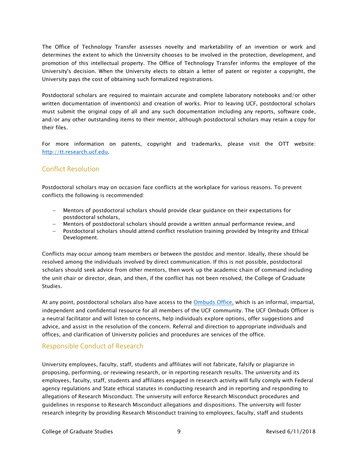The Office of Technology Transfer assesses novelty and marketability of an invention or work and determines the extent to which the University chooses to be involved in the protection, development, and promotion of this intellectual property. The Office of Technology Transfer informs the employee of the University's decision. When the University elects to obtain a letter of patent or register a copyright, the University pays the cost of obtaining such formalized registrations.

Postdoctoral scholars are required to maintain accurate and complete laboratory notebooks and/or other written documentation of invention(s) and creation of works. Prior to leaving UCF, postdoctoral scholars must submit the original copy of all and any such documentation including any reports, software code, and/or any other outstanding items to their mentor, although postdoctoral scholars may retain a copy for their files.

For more information on patents, copyright and trademarks, please visit the OTT website: [http://tt.research.ucf.edu.](http://tt.research.ucf.edu/)

#### <span id="page-8-0"></span>Conflict Resolution

Postdoctoral scholars may on occasion face conflicts at the workplace for various reasons. To prevent conflicts the following is recommended:

- − Mentors of postdoctoral scholars should provide clear guidance on their expectations for postdoctoral scholars,
- − Mentors of postdoctoral scholars should provide a written annual performance review, and
- − Postdoctoral scholars should attend conflict resolution training provided by [Integrity and Ethical](http://ied.sdes.ucf.edu/)  [Development.](http://ied.sdes.ucf.edu/)

Conflicts may occur among team members or between the postdoc and mentor. Ideally, these should be resolved among the individuals involved by direct communication. If this is not possible, postdoctoral scholars should seek advice from other mentors, then work up the academic chain of command including the unit chair or director, dean, and then, if the conflict has not been resolved, the College of Graduate Studies.

At any point, postdoctoral scholars also have access to the [Ombuds Office,](http://www.ombuds.ucf.edu/) which is an informal, impartial, independent and confidential resource for all members of the UCF community. The UCF Ombuds Officer is a neutral facilitator and will listen to concerns, help individuals explore options, offer suggestions and advice, and assist in the resolution of the concern. Referral and direction to appropriate individuals and offices, and clarification of University policies and procedures are services of the office.

#### <span id="page-8-1"></span>Responsible Conduct of Research

University employees, faculty, staff, students and affiliates will not fabricate, falsify or plagiarize in proposing, performing, or reviewing research, or in reporting research results. The university and its employees, faculty, staff, students and affiliates engaged in research activity will fully comply with Federal agency regulations and State ethical statutes in conducting research and in reporting and responding to allegations of Research Misconduct. The university will enforce Research Misconduct procedures and guidelines in response to Research Misconduct allegations and dispositions. The university will foster research integrity by providing Research Misconduct training to employees, faculty, staff and students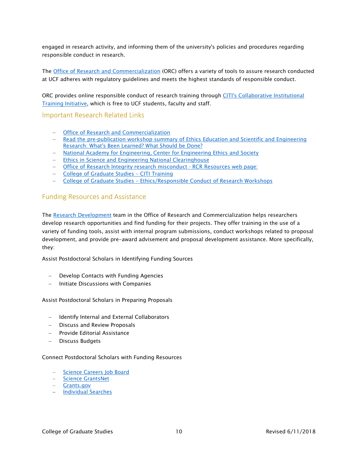engaged in research activity, and informing them of the university's policies and procedures regarding responsible conduct in research.

The [Office of Research and](http://www.research.ucf.edu/compliance.html) Commercialization (ORC) offers a variety of tools to assure research conducted at UCF adheres with regulatory guidelines and meets the highest standards of responsible conduct.

ORC provides online responsible conduct of research training through [CITI's Collaborative Institutional](https://www.citiprogram.org/Default.asp)  [Training Initiative,](https://www.citiprogram.org/Default.asp) which is free to UCF students, faculty and staff.

#### <span id="page-9-0"></span>Important Research Related Links

- − [Office of Research and](http://www.research.ucf.edu/compliance.html) Commercialization
- − [Read the pre-publication workshop summary of Ethics Education and Scientific and Engineering](http://www.nae.edu/?ID=14646)  [Research: What's Been Learned? What Should be Done?](http://www.nae.edu/?ID=14646)
- − [National Academy for Engineering, Center for Engineering Ethics and Society](http://www.nae.edu/nae/engethicscen.nsf/weblinks/NKAL-7LHM86?OpenDocument)
- − [Ethics in Science and Engineering National Clearinghouse](http://www.ethicslibrary.org/)
- − [Office of Research Integrity research misconduct -](http://ori.dhhs.gov/education/products/rcr_misconduct.shtml) RCR Resources web page:
- − College [of Graduate Studies](http://www.students.graduate.ucf.edu/CITI_RCR_training/) CITI Training
- − College of Graduate Studies [Ethics/Responsible Conduct of Research Workshops](http://www.students.graduate.ucf.edu/Ethics_Workshops/)

#### <span id="page-9-1"></span>Funding Resources and Assistance

The [Research Development](http://www.research.ucf.edu/funding_assistance.html) team in the Office of Research and Commercialization helps researchers develop research opportunities and find funding for their projects. They offer training in the use of a variety of funding tools, assist with internal program submissions, conduct workshops related to proposal development, and provide pre-award advisement and proposal development assistance. More specifically, they:

Assist Postdoctoral Scholars in Identifying Funding Sources

- − Develop Contacts with Funding Agencies
- − Initiate Discussions with Companies

Assist Postdoctoral Scholars in Preparing Proposals

- − Identify Internal and External Collaborators
- − Discuss and Review Proposals
- − Provide Editorial Assistance
- − Discuss Budgets

#### Connect Postdoctoral Scholars with Funding Resources

- − [Science Careers Job Board](http://sciencecareers.sciencemag.org/)
- − [Science GrantsNet](http://sciencecareers.sciencemag.org/funding)
- − [Grants.gov](http://www.grants.gov/)
- − [Individual Searches](http://www.research.ucf.edu/SponsoredPrograms/FundingOpportunities/Pivot.html)